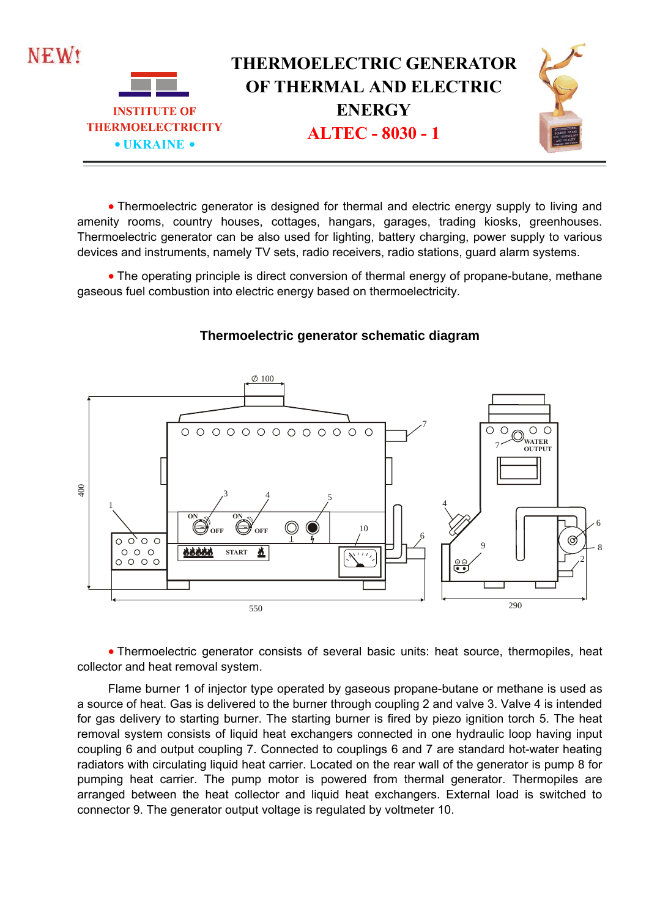

 Thermoelectric generator is designed for thermal and electric energy supply to living and amenity rooms, country houses, cottages, hangars, garages, trading kiosks, greenhouses. Thermoelectric generator can be also used for lighting, battery charging, power supply to various devices and instruments, namely TV sets, radio receivers, radio stations, guard alarm systems.

 The operating principle is direct conversion of thermal energy of propane-butane, methane gaseous fuel combustion into electric energy based on thermoelectricity.



## **Thermoelectric generator schematic diagram**

 Thermoelectric generator consists of several basic units: heat source, thermopiles, heat collector and heat removal system.

Flame burner 1 of injector type operated by gaseous propane-butane or methane is used as a source of heat. Gas is delivered to the burner through coupling 2 and valve 3. Valve 4 is intended for gas delivery to starting burner. The starting burner is fired by piezo ignition torch 5. The heat removal system consists of liquid heat exchangers connected in one hydraulic loop having input coupling 6 and output coupling 7. Connected to couplings 6 and 7 are standard hot-water heating radiators with circulating liquid heat carrier. Located on the rear wall of the generator is pump 8 for pumping heat carrier. The pump motor is powered from thermal generator. Thermopiles are arranged between the heat collector and liquid heat exchangers. External load is switched to connector 9. The generator output voltage is regulated by voltmeter 10.